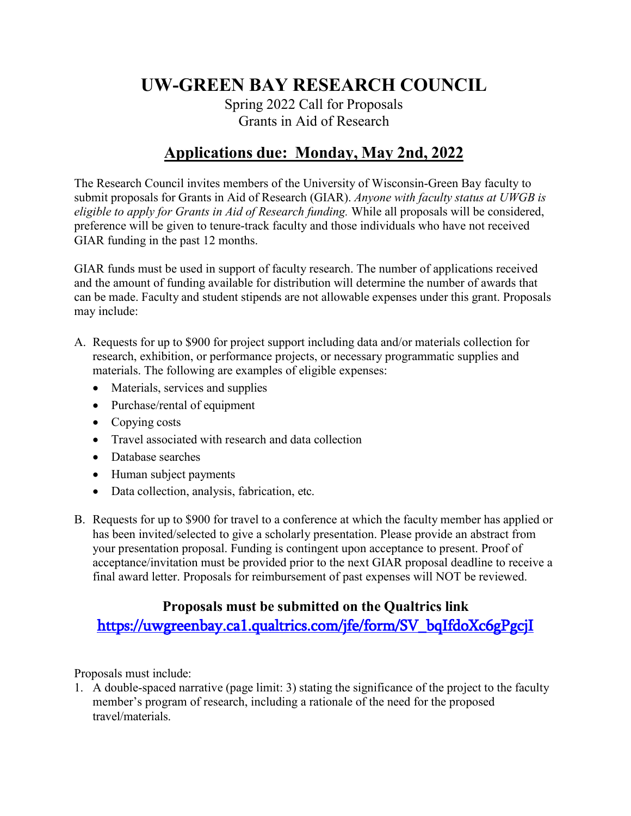# **UW-GREEN BAY RESEARCH COUNCIL**

Spring 2022 Call for Proposals Grants in Aid of Research

### **Applications due: Monday, May 2nd, 2022**

The Research Council invites members of the University of Wisconsin-Green Bay faculty to submit proposals for Grants in Aid of Research (GIAR). *Anyone with faculty status at UWGB is eligible to apply for Grants in Aid of Research funding.* While all proposals will be considered, preference will be given to tenure-track faculty and those individuals who have not received GIAR funding in the past 12 months.

GIAR funds must be used in support of faculty research. The number of applications received and the amount of funding available for distribution will determine the number of awards that can be made. Faculty and student stipends are not allowable expenses under this grant. Proposals may include:

- A. Requests for up to \$900 for project support including data and/or materials collection for research, exhibition, or performance projects, or necessary programmatic supplies and materials. The following are examples of eligible expenses:
	- Materials, services and supplies
	- Purchase/rental of equipment
	- Copying costs
	- Travel associated with research and data collection
	- Database searches
	- Human subject payments
	- Data collection, analysis, fabrication, etc.
- B. Requests for up to \$900 for travel to a conference at which the faculty member has applied or has been invited/selected to give a scholarly presentation. Please provide an abstract from your presentation proposal. Funding is contingent upon acceptance to present. Proof of acceptance/invitation must be provided prior to the next GIAR proposal deadline to receive a final award letter. Proposals for reimbursement of past expenses will NOT be reviewed.

### **Proposals must be submitted on the Qualtrics link** [https://uwgreenbay.ca1.qualtrics.com/jfe/form/SV\\_bqIfdoXc6gPgcjI](https://uwgreenbay.ca1.qualtrics.com/jfe/form/SV_bqIfdoXc6gPgcjI)

Proposals must include:

1. A double-spaced narrative (page limit: 3) stating the significance of the project to the faculty member's program of research, including a rationale of the need for the proposed travel/materials.